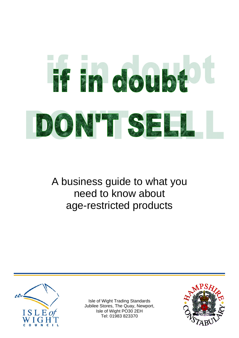# Ff in doubt DON'T SEL

A business guide to what you need to know about age-restricted products



Isle of Wight Trading Standards Jubilee Stores, The Quay, Newport, Isle of Wight PO30 2EH Tel: 01983 823370

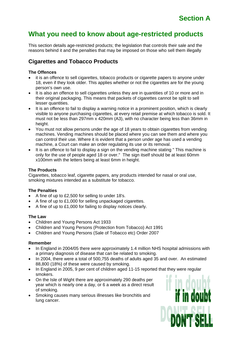This section details age-restricted products; the legislation that controls their sale and the reasons behind it and the penalties that may be imposed on those who sell them illegally

# **Cigarettes and Tobacco Products**

#### **The Offences**

- it is an offence to sell cigarettes, tobacco products or cigarette papers to anyone under 18, even if they look older. This applies whether or not the cigarettes are for the young person's own use.
- It is also an offence to sell cigarettes unless they are in quantities of 10 or more and in their original packaging. This means that packets of cigarettes cannot be split to sell lesser quantities.
- It is an offence to fail to display a warning notice in a prominent position, which is clearly visible to anyone purchasing cigarettes, at every retail premise at which tobacco is sold. It must not be less than 297mm x 420mm (A3), with no character being less than 36mm in height.
- You must not allow persons under the age of 18 years to obtain cigarettes from vending machines. Vending machines should be placed where you can see them and where you can control their use. Where it is evident that a person under age has used a vending machine, a Court can make an order regulating its use or its removal.
- It is an offence to fail to display a sign on the vending machine stating " This machine is only for the use of people aged 18 or over." The sign itself should be at least 60mm x100mm with the letters being at least 6mm in height.

#### **The Products**

Cigarettes, tobacco leaf, cigarette papers, any products intended for nasal or oral use, smoking mixtures intended as a substitute for tobacco.

#### **The Penalties**

- A fine of up to £2,500 for selling to under 18's.
- A fine of up to £1,000 for selling unpackaged cigarettes.
- A fine of up to £1,000 for failing to display notices clearly.

#### **The Law**

- Children and Young Persons Act 1933
- Children and Young Persons (Protection from Tobacco) Act 1991
- Children and Young Persons (Sale of Tobacco etc) Order 2007

#### **Remember**

- In England in 2004/05 there were approximately 1.4 million NHS hospital admissions with a primary diagnosis of disease that can be related to smoking.
- In 2004, there were a total of 500,755 deaths of adults aged 35 and over. An estimated 88,800 (18%) of these were caused by smoking.
- In England in 2005, 9 per cent of children aged 11-15 reported that they were regular smokers.
- On the Isle of Wight there are approximately 290 deaths per year which is nearly one a day, or 6 a week as a direct result of smoking.
- Smoking causes many serious illnesses like bronchitis and lung cancer.

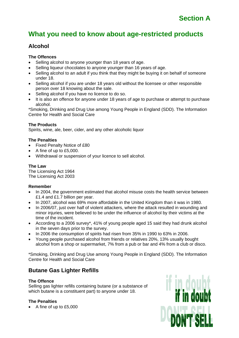# **Alcohol**

#### **The Offences**

- Selling alcohol to anyone younger than 18 years of age.
- Selling liqueur chocolates to anyone younger than 16 years of age.
- Selling alcohol to an adult if you think that they might be buying it on behalf of someone under 18.
- Selling alcohol if you are under 18 years old without the licensee or other responsible person over 18 knowing about the sale.
- Selling alcohol if you have no licence to do so.
- It is also an offence for anyone under 18 years of age to purchase or attempt to purchase alcohol.

\*Smoking, Drinking and Drug Use among Young People in England (SDD). The Information Centre for Health and Social Care

#### **The Products**

Spirits, wine, ale, beer, cider, and any other alcoholic liquor

#### **The Penalties**

- Fixed Penalty Notice of £80
- A fine of up to £5,000.
- Withdrawal or suspension of your licence to sell alcohol.

#### **The Law**

The Licensing Act 1964 The Licensing Act 2003

#### **Remember**

- In 2004, the government estimated that alcohol misuse costs the health service between £1.4 and £1.7 billion per year.
- In 2007, alcohol was 69% more affordable in the United Kingdom than it was in 1980.
- In 2006/07, just over half of violent attackers, where the attack resulted in wounding and minor injuries, were believed to be under the influence of alcohol by their victims at the time of the incident.
- According to a 2006 survey\*, 41% of young people aged 15 said they had drunk alcohol in the seven days prior to the survey.
- In 2006 the consumption of spirits had risen from 35% in 1990 to 63% in 2006.
- Young people purchased alcohol from friends or relatives 20%, 13% usually bought alcohol from a shop or supermarket, 7% from a pub or bar and 4% from a club or disco.

\*Smoking, Drinking and Drug Use among Young People in England (SDD). The Information Centre for Health and Social Care

## **Butane Gas Lighter Refills**

#### **The Offence**

Selling gas lighter refills containing butane (or a substance of which butane is a constituent part) to anyone under 18.

#### **The Penalties**

• A fine of up to £5,000

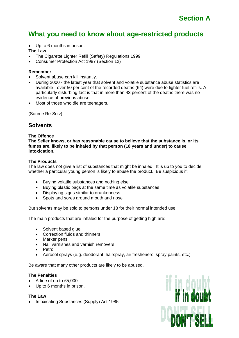• Up to 6 months in prison.

#### **The Law**

- The Cigarette Lighter Refill (Safety) Regulations 1999
- Consumer Protection Act 1987 (Section 12)

#### **Remember**

- Solvent abuse can kill instantly.
- During 2000 the latest year that solvent and volatile substance abuse statistics are available - over 50 per cent of the recorded deaths (64) were due to lighter fuel refills. A particularly disturbing fact is that in more than 43 percent of the deaths there was no evidence of previous abuse.
- Most of those who die are teenagers.

(Source Re-Solv)

## **Solvents**

#### **The Offence**

**The Seller knows, or has reasonable cause to believe that the substance is, or its fumes are, likely to be inhaled by that person (18 years and under) to cause intoxication.** 

#### **The Products**

The law does not give a list of substances that might be inhaled. It is up to you to decide whether a particular young person is likely to abuse the product. Be suspicious if:

- Buying volatile substances and nothing else
- Buying plastic bags at the same time as volatile substances
- Displaying signs similar to drunkenness
- Spots and sores around mouth and nose

But solvents may be sold to persons under 18 for their normal intended use.

The main products that are inhaled for the purpose of getting high are:

- Solvent based glue.
- Correction fluids and thinners.
- Marker pens.
- Nail varnishes and varnish removers.
- Petrol
- Aerosol sprays (e.g. deodorant, hairspray, air fresheners, spray paints, etc.)

Be aware that many other products are likely to be abused.

#### **The Penalties**

- A fine of up to £5,000
- Up to 6 months in prison.

#### **The Law**

• Intoxicating Substances (Supply) Act 1985

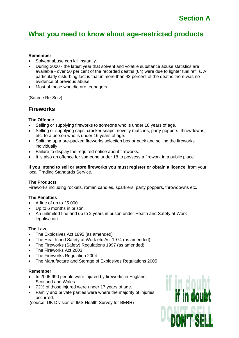#### **Remember**

- Solvent abuse can kill instantly.
- During 2000 the latest year that solvent and volatile substance abuse statistics are available - over 50 per cent of the recorded deaths (64) were due to lighter fuel refills. A particularly disturbing fact is that in more than 43 percent of the deaths there was no evidence of previous abuse.
- Most of those who die are teenagers.

(Source Re-Solv)

## **Fireworks**

#### **The Offence**

- Selling or supplying fireworks to someone who is under 18 years of age.
- Selling or supplying caps, cracker snaps, novelty matches, party poppers, throwdowns, etc. to a person who is under 16 years of age.
- Splitting up a pre-packed fireworks selection box or pack and selling the fireworks individually.
- Failure to display the required notice about fireworks.
- It is also an offence for someone under 18 to possess a firework in a public place.

**If you intend to sell or store fireworks you must register or obtain a licence** from your local Trading Standards Service.

#### **The Products**

Fireworks including rockets, roman candles, sparklers, party poppers, throwdowns etc.

#### **The Penalties**

- A fine of up to £5,000.
- Up to 6 months in prison.
- An unlimited fine and up to 2 years in prison under Health and Safety at Work legalisation.

#### **The Law**

- The Explosives Act 1895 (as amended)
- The Health and Safety at Work etc Act 1974 (as amended)
- The Fireworks (Safety) Regulations 1997 (as amended)
- The Fireworks Act 2003
- The Fireworks Regulation 2004
- The Manufacture and Storage of Explosives Regulations 2005

#### **Remember**

- In 2005 990 people were injured by fireworks in England, Scotland and Wales.
- 72% of those injured were under 17 years of age.
- Family and private parties were where the majority of injuries occurred.

(source: UK Division of IMS Health Survey for BERR)

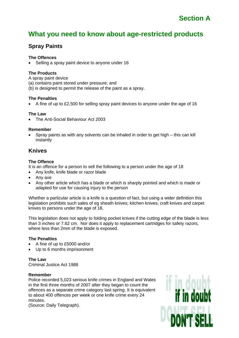## **Spray Paints**

#### **The Offences**

Selling a spray paint device to anyone under 16

#### **The Products**

A spray paint device (a) contains paint stored under pressure; and (b) is designed to permit the release of the paint as a spray.

#### **The Penalties**

• A fine of up to £2,500 for selling spray paint devices to anyone under the age of 16

#### **The Law**

• The Anti-Social Behaviour Act 2003

#### **Remember**

• Spray paints as with any solvents can be inhaled in order to get high – this can kill instantly

## **Knives**

#### **The Offence**

It is an offence for a person to sell the following to a person under the age of 18

- Any knife, knife blade or razor blade
- Any axe
- Any other article which has a blade or which is sharply pointed and which is made or adapted for use for causing injury to the person

Whether a particular article is a knife is a question of fact, but using a wider definition this legislation prohibits such sales of eg sheath knives; kitchen knives; craft knives and carpet knives to persons under the age of 18.

This legislation does not apply to folding pocket knives if the cutting edge of the blade is less than 3 inches or 7.62 cm. Nor does it apply to replacement cartridges for safety razors, where less than 2mm of the blade is exposed.

#### **The Penalties**

- A fine of up to £5000 and/or
- Up to 6 months imprisonment

#### **The Law**

Criminal Justice Act 1988

#### **Remember**

Police recorded 5,023 serious knife crimes in England and Wales in the first three months of 2007 after they began to count the offences as a separate crime category last spring. It is equivalent to about 400 offences per week or one knife crime every 24 minutes.

(Source: Daily Telegraph).

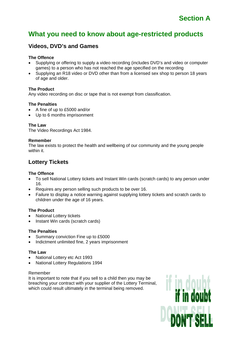## **Videos, DVD's and Games**

#### **The Offence**

- Supplying or offering to supply a video recording (includes DVD's and video or computer games) to a person who has not reached the age specified on the recording
- Supplying an R18 video or DVD other than from a licensed sex shop to person 18 years of age and older.

#### **The Product**

Any video recording on disc or tape that is not exempt from classification.

#### **The Penalties**

- A fine of up to £5000 and/or
- Up to 6 months imprisonment

#### **The Law**

The Video Recordings Act 1984.

#### **Remember**

The law exists to protect the health and wellbeing of our community and the young people within it.

## **Lottery Tickets**

#### **The Offence**

- To sell National Lottery tickets and Instant Win cards (scratch cards) to any person under 16.
- Requires any person selling such products to be over 16.
- Failure to display a notice warning against supplying lottery tickets and scratch cards to children under the age of 16 years.

#### **The Product**

- National Lottery tickets
- Instant Win cards (scratch cards)

#### **The Penalties**

- Summary conviction Fine up to £5000
- Indictment unlimited fine, 2 years imprisonment

#### **The Law**

- National Lottery etc Act 1993
- National Lottery Regulations 1994

#### Remember

It is important to note that if you sell to a child then you may be breaching your contract with your supplier of the Lottery Terminal, which could result ultimately in the terminal being removed.

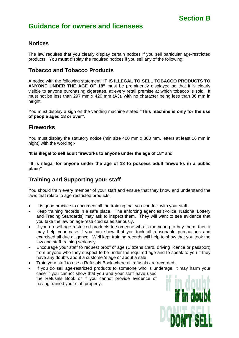# **Section B**

# **Guidance for owners and licensees**

## **Notices**

The law requires that you clearly display certain notices if you sell particular age-restricted products. You **must** display the required notices if you sell any of the following:

## **Tobacco and Tobacco Products**

A notice with the following statement "**IT IS ILLEGAL TO SELL TOBACCO PRODUCTS TO ANYONE UNDER THE AGE OF 18"** must be prominently displayed so that it is clearly visible to anyone purchasing cigarettes, at every retail premise at which tobacco is sold. It must not be less than 297 mm x 420 mm (A3), with no character being less than 36 mm in height.

You must display a sign on the vending machine stated **"This machine is only for the use of people aged 18 or over".** 

## **Fireworks**

You must display the statutory notice (min size 400 mm x 300 mm, letters at least 16 mm in hight) with the wording:-

"**It is illegal to sell adult fireworks to anyone under the age of 18"** and

**"It is illegal for anyone under the age of 18 to possess adult fireworks in a public place"** 

## **Training and Supporting your staff**

You should train every member of your staff and ensure that they know and understand the laws that relate to age-restricted products.

- It is good practice to document all the training that you conduct with your staff.
- Keep training records in a safe place. The enforcing agencies (Police, National Lottery and Trading Standards) may ask to inspect them. They will want to see evidence that you take the law on age-restricted sales seriously.
- If you do sell age-restricted products to someone who is too young to buy them, then it may help your case if you can show that you took all reasonable precautions and exercised all due diligence. Well kept training records will help to show that you took the law and staff training seriously.
- Encourage your staff to request proof of age (Citizens Card, driving licence or passport) from anyone who they suspect to be under the required age and to speak to you if they have any doubts about a customer's age or about a sale.
- Train your staff to use a Refusals Book where all refusals are recorded.
- If you do sell age-restricted products to someone who is underage, it may harm your case if you cannot show that you and your staff have used the Refusals Book or if you cannot provide evidence of having trained your staff properly.

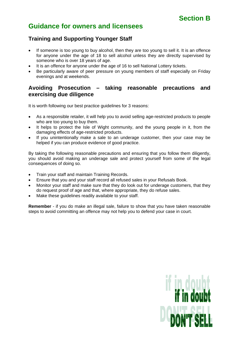# **Section B**

# **Guidance for owners and licensees**

## **Training and Supporting Younger Staff**

- If someone is too young to buy alcohol, then they are too young to sell it. It is an offence for anyone under the age of 18 to sell alcohol unless they are directly supervised by someone who is over 18 years of age.
- It is an offence for anyone under the age of 16 to sell National Lottery tickets.
- Be particularly aware of peer pressure on young members of staff especially on Friday evenings and at weekends.

## **Avoiding Prosecution – taking reasonable precautions and exercising due diligence**

It is worth following our best practice guidelines for 3 reasons:

- As a responsible retailer, it will help you to avoid selling age-restricted products to people who are too young to buy them.
- It helps to protect the Isle of Wight community, and the young people in it, from the damaging effects of age-restricted products.
- If you unintentionally make a sale to an underage customer, then your case may be helped if you can produce evidence of good practice.

By taking the following reasonable precautions and ensuring that you follow them diligently, you should avoid making an underage sale and protect yourself from some of the legal consequences of doing so.

- Train your staff and maintain Training Records.
- Ensure that you and your staff record all refused sales in your Refusals Book.
- Monitor your staff and make sure that they do look out for underage customers, that they do request proof of age and that, where appropriate, they do refuse sales.
- Make these quidelines readily available to your staff.

**Remember** - if you do make an illegal sale, failure to show that you have taken reasonable steps to avoid committing an offence may not help you to defend your case in court.

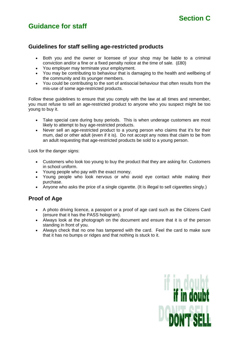# **Guidance for staff**

## **Guidelines for staff selling age-restricted products**

- Both you and the owner or licensee of your shop may be liable to a criminal conviction and/or a fine or a fixed penalty notice at the time of sale. (£80)
- You employer may terminate your employment.
- You may be contributing to behaviour that is damaging to the health and wellbeing of the community and its younger members.
- You could be contributing to the sort of antisocial behaviour that often results from the mis-use of some age-restricted products.

Follow these guidelines to ensure that you comply with the law at all times and remember, you must refuse to sell an age-restricted product to anyone who you suspect might be too young to buy it.

- Take special care during busy periods. This is when underage customers are most likely to attempt to buy age-restricted products.
- Never sell an age-restricted product to a young person who claims that it's for their mum, dad or other adult (even if it is). Do not accept any notes that claim to be from an adult requesting that age-restricted products be sold to a young person.

Look for the danger signs:

- Customers who look too young to buy the product that they are asking for. Customers in school uniform.
- Young people who pay with the exact money.
- Young people who look nervous or who avoid eye contact while making their purchase.
- Anyone who asks the price of a single cigarette. (It is illegal to sell cigarettes singly.)

## **Proof of Age**

- A photo driving licence, a passport or a proof of age card such as the Citizens Card (ensure that it has the PASS hologram).
- Always look at the photograph on the document and ensure that it is of the person standing in front of you.
- Always check that no one has tampered with the card. Feel the card to make sure that it has no bumps or ridges and that nothing is stuck to it.

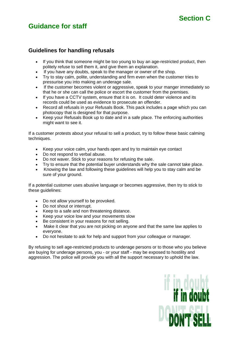# **Guidance for staff**

# **Section C**

## **Guidelines for handling refusals**

- If you think that someone might be too young to buy an age-restricted product, then politely refuse to sell them it, and give them an explanation.
- If you have any doubts, speak to the manager or owner of the shop.
- Try to stay calm, polite, understanding and firm even when the customer tries to pressurise you into making an underage sale.
- If the customer becomes violent or aggressive, speak to your manger immediately so that he or she can call the police or escort the customer from the premises.
- If you have a CCTV system, ensure that it is on. It could deter violence and its records could be used as evidence to prosecute an offender.
- Record all refusals in your Refusals Book. This pack includes a page which you can photocopy that is designed for that purpose.
- Keep your Refusals Book up to date and in a safe place. The enforcing authorities might want to see it.

If a customer protests about your refusal to sell a product, try to follow these basic calming techniques.

- Keep your voice calm, your hands open and try to maintain eye contact
- Do not respond to verbal abuse.
- Do not waver. Stick to your reasons for refusing the sale.
- Try to ensure that the potential buyer understands why the sale cannot take place.
- Knowing the law and following these guidelines will help you to stay calm and be sure of your ground.

If a potential customer uses abusive language or becomes aggressive, then try to stick to these guidelines:

- Do not allow yourself to be provoked.
- Do not shout or interrupt.
- Keep to a safe and non threatening distance.
- Keep your voice low and your movements slow
- Be consistent in your reasons for not selling.
- Make it clear that you are not picking on anyone and that the same law applies to everyone.
- Do not hesitate to ask for help and support from your colleague or manager.

By refusing to sell age-restricted products to underage persons or to those who you believe are buying for underage persons, you - or your staff - may be exposed to hostility and aggression. The police will provide you with all the support necessary to uphold the law.

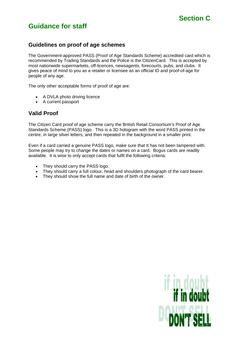# **Guidance for staff**

## **Guidelines on proof of age schemes**

The Government-approved PASS (Proof of Age Standards Scheme) accredited card which is recommended by Trading Standards and the Police is the CitizenCard. This is accepted by most nationwide supermarkets, off-licences, newsagents, forecourts, pubs, and clubs. It gives peace of mind to you as a retailer or licensee as an official ID and proof-of-age for people of any age.

The only other acceptable forms of proof of age are:

- A DVLA photo driving licence
- A current passport

## **Valid Proof**

The Citizen Card proof of age scheme carry the British Retail Consortium's Proof of Age Standards Scheme (PASS) logo. This is a 3D hologram with the word PASS printed in the centre, in large silver letters, and then repeated in the background in a smaller print.

Even if a card carried a genuine PASS logo, make sure that It has not been tampered with. Some people may try to change the dates or names on a card. Bogus cards are readily available. It is wise to only accept cards that fulfil the following criteria:

- They should carry the PASS logo.
- They should carry a full colour, head and shoulders photograph of the card bearer.
- They should show the full name and date of birth of the owner.

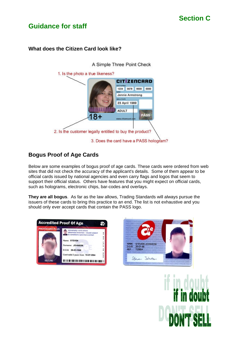# **Guidance for staff**

## **What does the Citizen Card look like?**



# **Bogus Proof of Age Cards**

Below are some examples of bogus proof of age cards. These cards were ordered from web sites that did not check the accuracy of the applicant's details. Some of them appear to be official cards issued by national agencies and even carry flags and logos that seem to support their official status. Others have features that you might expect on official cards, such as holograms, electronic chips, bar-codes and overlays.

**They are all bogus**. As far as the law allows, Trading Standards will always pursue the issuers of these cards to bring this practice to an end. The list is not exhaustive and you should only ever accept cards that contain the PASS logo.





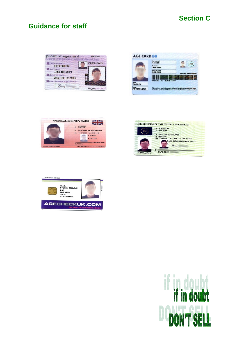# **Guidance for staff**

| proof of age card<br>verfied bhoto identification | 43943-43943 |
|---------------------------------------------------|-------------|
| firstname<br><b>STEVEN</b>                        | 2003-2005   |
| surname<br><b>JOHNSON</b>                         |             |
| date of birth<br>26,01,1986                       |             |
| cardholder signature                              |             |
|                                                   |             |

|                             | Forename/s<br><b>Steven</b>                                                                                                                             |                                    |
|-----------------------------|---------------------------------------------------------------------------------------------------------------------------------------------------------|------------------------------------|
|                             | Surname<br>Johnson                                                                                                                                      | GB                                 |
|                             | <b>Date Of Birth</b><br>26-01-86                                                                                                                        | please insert your card this way > |
|                             |                                                                                                                                                         |                                    |
| $04 - 02 - 08$              | 9827985 87 25892 75897                                                                                                                                  |                                    |
| <b>Issue</b><br>PPY77233242 | This card is an authentic approved form of identification, which has been<br>accredited by 'Agecard GB' for use across the British Isles & EU countries |                                    |